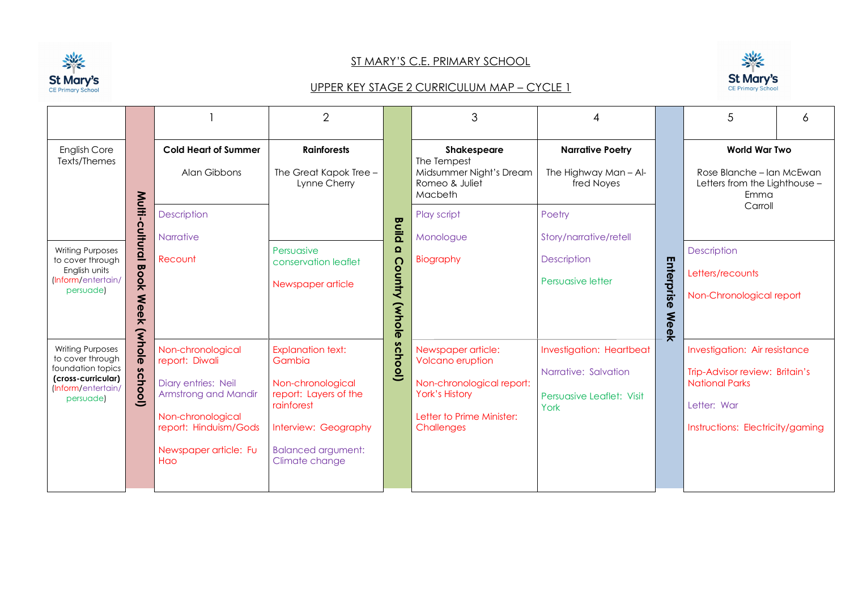

## ST MARY'S C.E. PRIMARY SCHOOL





|                                                                                                                                                                                                                                        |                                                                                                           |                                                                                                                                                                  | $\overline{2}$                                                                                                                                                        |                                                                                    | 3                                                                                                                                       |                                                                                       |                         | 5                                                                                                                                           | 6 |  |
|----------------------------------------------------------------------------------------------------------------------------------------------------------------------------------------------------------------------------------------|-----------------------------------------------------------------------------------------------------------|------------------------------------------------------------------------------------------------------------------------------------------------------------------|-----------------------------------------------------------------------------------------------------------------------------------------------------------------------|------------------------------------------------------------------------------------|-----------------------------------------------------------------------------------------------------------------------------------------|---------------------------------------------------------------------------------------|-------------------------|---------------------------------------------------------------------------------------------------------------------------------------------|---|--|
| <b>English Core</b><br>Texts/Themes                                                                                                                                                                                                    |                                                                                                           | <b>Cold Heart of Summer</b><br>Alan Gibbons                                                                                                                      | <b>Rainforests</b><br>The Great Kapok Tree -<br>Lynne Cherry                                                                                                          | Shakespeare<br>The Tempest<br>Midsummer Night's Dream<br>Romeo & Juliet<br>Macbeth |                                                                                                                                         | <b>Narrative Poetry</b><br>The Highway Man - Al-<br>fred Noyes                        |                         | <b>World War Two</b><br>Rose Blanche – Ian McEwan<br>Letters from the Lighthouse -<br>Emma                                                  |   |  |
| <b>Writing Purposes</b><br>to cover through<br>English units<br>(Inform/entertain/<br>persuade)<br>(whole<br><b>Writing Purposes</b><br>to cover through<br>foundation topics<br>(cross-curricular)<br>(Inform/entertain/<br>persuade) | Multi-cultural<br>$\mathbf{\overline{u}}$<br>$\overline{8}$<br>¥<br><b>Ne</b><br>$\ddot{\mathbf{0}}$<br>* | <b>Description</b><br><b>Narrative</b><br>Recount                                                                                                                | Persuasive<br>conservation leaflet<br>Newspaper article                                                                                                               | <b>Build</b><br>Ω<br>ဂ<br>Vinhy<br>(Whole                                          | Play script<br>Monologue<br>Biography                                                                                                   | Poetry<br>Story/narrative/retell<br><b>Description</b><br>Persuasive letter           | Enterpris<br>Meel       | Carroll<br><b>Description</b><br>Letters/recounts<br>Non-Chronological report                                                               |   |  |
|                                                                                                                                                                                                                                        | δ<br>(loon)                                                                                               | Non-chronological<br>report: Diwali<br>Diary entries: Neil<br>Armstrong and Mandir<br>Non-chronological<br>report: Hinduism/Gods<br>Newspaper article: Fu<br>Hao | <b>Explanation text:</b><br>Gambia<br>Non-chronological<br>report: Layers of the<br>rainforest<br>Interview: Geography<br><b>Balanced argument:</b><br>Climate change | school)                                                                            | Newspaper article:<br>Volcano eruption<br>Non-chronological report:<br><b>York's History</b><br>Letter to Prime Minister:<br>Challenges | Investigation: Heartbeat<br>Narrative: Salvation<br>Persuasive Leaflet: Visit<br>York | $\overline{\mathbf{x}}$ | Investigation: Air resistance<br>Trip-Advisor review: Britain's<br><b>National Parks</b><br>Letter: War<br>Instructions: Electricity/gaming |   |  |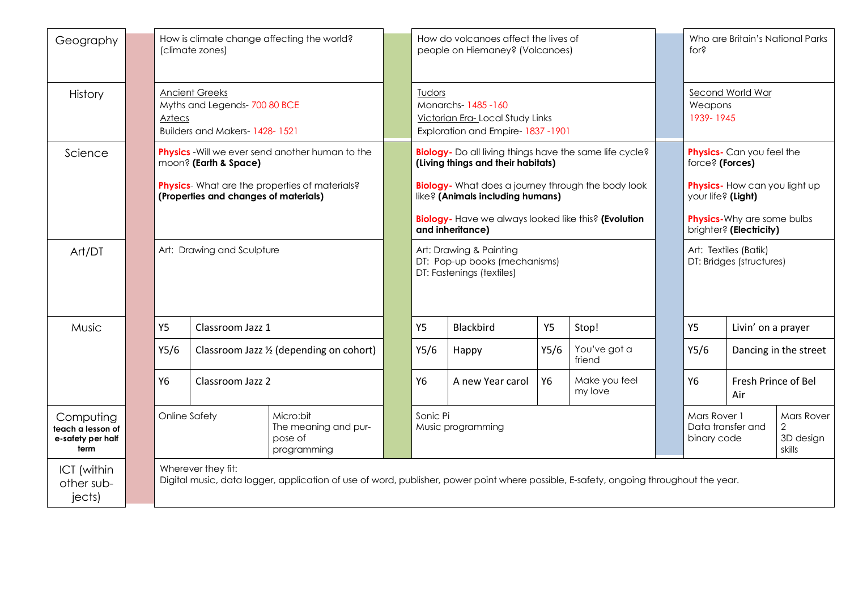| Geography                                                                                                                   |  | How is climate change affecting the world?<br>(climate zones)                                                                                               |               |                                                             |                  | How do volcanoes affect the lives of<br>people on Hiemaney? (Volcanoes)                            |                                                                                                   |                          |                                                              |                    | Who are Britain's National Parks<br>for <sub>5</sub> |  |  |
|-----------------------------------------------------------------------------------------------------------------------------|--|-------------------------------------------------------------------------------------------------------------------------------------------------------------|---------------|-------------------------------------------------------------|------------------|----------------------------------------------------------------------------------------------------|---------------------------------------------------------------------------------------------------|--------------------------|--------------------------------------------------------------|--------------------|------------------------------------------------------|--|--|
| History                                                                                                                     |  | <b>Ancient Greeks</b><br>Myths and Legends-700 80 BCE<br><b>Aztecs</b><br>Builders and Makers-1428-1521                                                     |               |                                                             |                  | Tudors<br>Monarchs-1485-160<br>Victorian Era-Local Study Links<br>Exploration and Empire-1837-1901 |                                                                                                   |                          |                                                              |                    | Second World War<br>Weapons<br>1939-1945             |  |  |
| Science                                                                                                                     |  | <b>Physics</b> - Will we ever send another human to the<br>moon? (Earth & Space)                                                                            |               |                                                             |                  | Biology- Do all living things have the same life cycle?<br>(Living things and their habitats)      |                                                                                                   |                          |                                                              |                    | Physics- Can you feel the<br>force? (Forces)         |  |  |
|                                                                                                                             |  | <b>Physics</b> - What are the properties of materials?<br>(Properties and changes of materials)                                                             |               |                                                             |                  | <b>Biology</b> - What does a journey through the body look<br>like? (Animals including humans)     |                                                                                                   |                          |                                                              |                    | Physics- How can you light up<br>your life? (Light)  |  |  |
|                                                                                                                             |  | <b>Biology</b> - Have we always looked like this? (Evolution<br>and inheritance)                                                                            |               |                                                             |                  |                                                                                                    |                                                                                                   |                          | <b>Physics-Why are some bulbs</b><br>brighter? (Electricity) |                    |                                                      |  |  |
| Art/DT                                                                                                                      |  | Art: Drawing and Sculpture                                                                                                                                  |               |                                                             |                  | Art: Drawing & Painting<br>DT: Pop-up books (mechanisms)<br>DT: Fastenings (textiles)              |                                                                                                   |                          |                                                              |                    | Art: Textiles (Batik)<br>DT: Bridges (structures)    |  |  |
| Music<br><b>Y5</b><br>Classroom Jazz 1<br>Y5/6<br>Classroom Jazz 1/2 (depending on cohort)<br><b>Y6</b><br>Classroom Jazz 2 |  |                                                                                                                                                             |               | <b>Y5</b>                                                   | <b>Blackbird</b> | <b>Y5</b>                                                                                          | Stop!                                                                                             |                          | <b>Y5</b>                                                    | Livin' on a prayer |                                                      |  |  |
|                                                                                                                             |  |                                                                                                                                                             |               |                                                             | Y5/6             | Happy                                                                                              | Y5/6                                                                                              | You've got a<br>friend   |                                                              | Y5/6               | Dancing in the street                                |  |  |
|                                                                                                                             |  |                                                                                                                                                             |               |                                                             | <b>Y6</b>        | A new Year carol                                                                                   | Y6                                                                                                | Make you feel<br>my love |                                                              | <b>Y6</b>          | Fresh Prince of Bel<br>Air                           |  |  |
| Computing<br>teach a lesson of<br>e-safety per half<br>term                                                                 |  |                                                                                                                                                             | Online Safety | Micro:bit<br>The meaning and pur-<br>pose of<br>programming |                  | Sonic Pi                                                                                           | Mars Rover 1<br>Data transfer and<br>Music programming<br>2<br>3D design<br>binary code<br>skills |                          |                                                              |                    | <b>Mars Rover</b>                                    |  |  |
| ICT (within<br>other sub-<br>jects)                                                                                         |  | Wherever they fit:<br>Digital music, data logger, application of use of word, publisher, power point where possible, E-safety, ongoing throughout the year. |               |                                                             |                  |                                                                                                    |                                                                                                   |                          |                                                              |                    |                                                      |  |  |